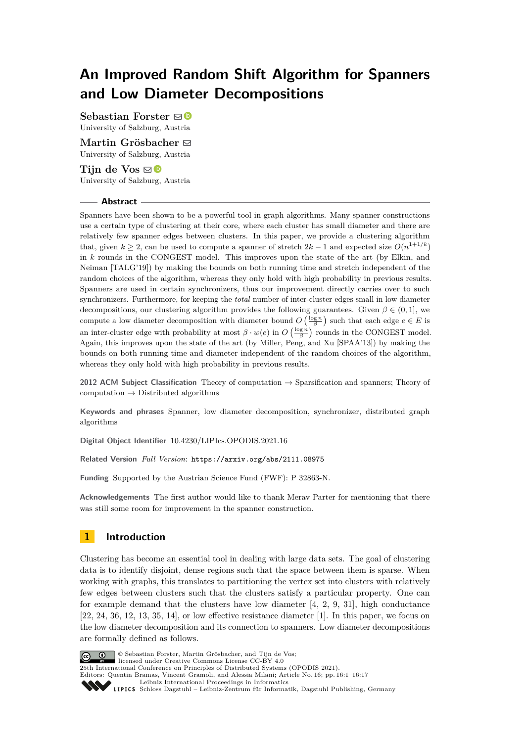# **An Improved Random Shift Algorithm for Spanners and Low Diameter Decompositions**

**Sebastian Forster** ⊠<sup>■</sup> University of Salzburg, Austria

**Martin Grösbacher** ⊠ University of Salzburg, Austria

Tijn de Vos  $\mathbf{\Theta}$ University of Salzburg, Austria

#### **Abstract**

Spanners have been shown to be a powerful tool in graph algorithms. Many spanner constructions use a certain type of clustering at their core, where each cluster has small diameter and there are relatively few spanner edges between clusters. In this paper, we provide a clustering algorithm that, given  $k \geq 2$ , can be used to compute a spanner of stretch  $2k - 1$  and expected size  $O(n^{1+1/k})$ in *k* rounds in the CONGEST model. This improves upon the state of the art (by Elkin, and Neiman [TALG'19]) by making the bounds on both running time and stretch independent of the random choices of the algorithm, whereas they only hold with high probability in previous results. Spanners are used in certain synchronizers, thus our improvement directly carries over to such synchronizers. Furthermore, for keeping the *total* number of inter-cluster edges small in low diameter decompositions, our clustering algorithm provides the following guarantees. Given  $\beta \in (0,1]$ , we compute a low diameter decomposition with diameter bound  $O\left(\frac{\log n}{\beta}\right)$  such that each edge  $e \in E$  is an inter-cluster edge with probability at most  $\beta \cdot w(e)$  in  $O\left(\frac{\log n}{\beta}\right)$  rounds in the CONGEST model. Again, this improves upon the state of the art (by Miller, Peng, and Xu [SPAA'13]) by making the bounds on both running time and diameter independent of the random choices of the algorithm, whereas they only hold with high probability in previous results.

**2012 ACM Subject Classification** Theory of computation → Sparsification and spanners; Theory of computation  $\rightarrow$  Distributed algorithms

**Keywords and phrases** Spanner, low diameter decomposition, synchronizer, distributed graph algorithms

**Digital Object Identifier** [10.4230/LIPIcs.OPODIS.2021.16](https://doi.org/10.4230/LIPIcs.OPODIS.2021.16)

**Related Version** *Full Version*: <https://arxiv.org/abs/2111.08975>

**Funding** Supported by the Austrian Science Fund (FWF): P 32863-N.

**Acknowledgements** The first author would like to thank Merav Parter for mentioning that there was still some room for improvement in the spanner construction.

# **1 Introduction**

Clustering has become an essential tool in dealing with large data sets. The goal of clustering data is to identify disjoint, dense regions such that the space between them is sparse. When working with graphs, this translates to partitioning the vertex set into clusters with relatively few edges between clusters such that the clusters satisfy a particular property. One can for example demand that the clusters have low diameter  $[4, 2, 9, 31]$  $[4, 2, 9, 31]$  $[4, 2, 9, 31]$  $[4, 2, 9, 31]$  $[4, 2, 9, 31]$  $[4, 2, 9, 31]$  $[4, 2, 9, 31]$ , high conductance  $[22, 24, 36, 12, 13, 35, 14]$  $[22, 24, 36, 12, 13, 35, 14]$  $[22, 24, 36, 12, 13, 35, 14]$  $[22, 24, 36, 12, 13, 35, 14]$  $[22, 24, 36, 12, 13, 35, 14]$  $[22, 24, 36, 12, 13, 35, 14]$  $[22, 24, 36, 12, 13, 35, 14]$  $[22, 24, 36, 12, 13, 35, 14]$  $[22, 24, 36, 12, 13, 35, 14]$  $[22, 24, 36, 12, 13, 35, 14]$  $[22, 24, 36, 12, 13, 35, 14]$  $[22, 24, 36, 12, 13, 35, 14]$  $[22, 24, 36, 12, 13, 35, 14]$ , or low effective resistance diameter  $[1]$ . In this paper, we focus on the low diameter decomposition and its connection to spanners. Low diameter decompositions are formally defined as follows.



© Sebastian Forster, Martin Grösbacher, and Tijn de Vos;

licensed under Creative Commons License CC-BY  $4.0$ 25th International Conference on Principles of Distributed Systems (OPODIS 2021).

Editors: Quentin Bramas, Vincent Gramoli, and Alessia Milani; Article No. 16; pp. 16:1–16:17

[Leibniz International Proceedings in Informatics](https://www.dagstuhl.de/lipics/)

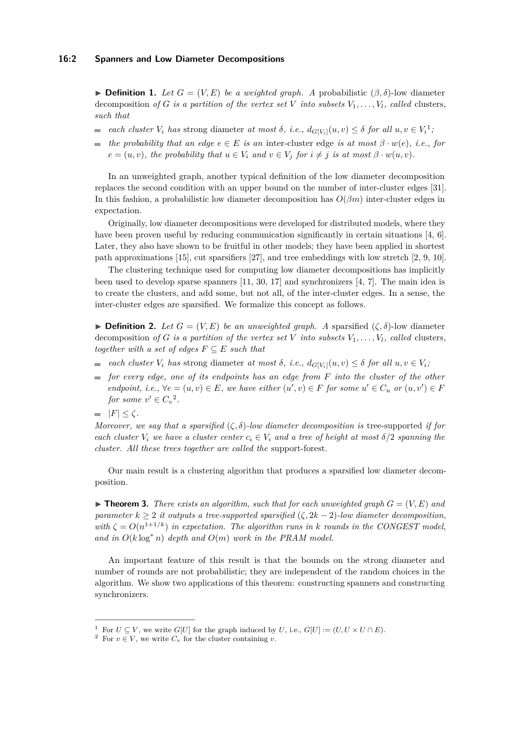**• Definition 1.** Let  $G = (V, E)$  be a weighted graph. A probabilistic  $(\beta, \delta)$ -low diameter decomposition *of G is a partition of the vertex set V into subsets*  $V_1, \ldots, V_l$ *, called* clusters*, such that*

- *each cluster*  $V_i$  *has* strong diameter *at most*  $\delta$ , *i.e.*,  $d_{G[V_i]}(u, v) \leq \delta$  *for all*  $u, v \in V_i^1$  $u, v \in V_i^1$ ,
- *the probability that an edge*  $e \in E$  *is an* inter-cluster edge *is at most*  $\beta \cdot w(e)$ *, i.e., for* ÷.  $e = (u, v)$ *, the probability that*  $u \in V_i$  *and*  $v \in V_j$  *for*  $i \neq j$  *is at most*  $\beta \cdot w(u, v)$ *.*

In an unweighted graph, another typical definition of the low diameter decomposition replaces the second condition with an upper bound on the number of inter-cluster edges [\[31\]](#page-15-0). In this fashion, a probabilistic low diameter decomposition has *O*(*βm*) inter-cluster edges in expectation.

Originally, low diameter decompositions were developed for distributed models, where they have been proven useful by reducing communication significantly in certain situations [\[4,](#page-14-0) [6\]](#page-14-7). Later, they also have shown to be fruitful in other models; they have been applied in shortest path approximations [\[15\]](#page-14-8), cut sparsifiers [\[27\]](#page-15-5), and tree embeddings with low stretch [\[2,](#page-14-1) [9,](#page-14-2) [10\]](#page-14-9).

The clustering technique used for computing low diameter decompositions has implicitly been used to develop sparse spanners [\[11,](#page-14-10) [30,](#page-15-6) [17\]](#page-15-7) and synchronizers [\[4,](#page-14-0) [7\]](#page-14-11). The main idea is to create the clusters, and add some, but not all, of the inter-cluster edges. In a sense, the inter-cluster edges are sparsified. We formalize this concept as follows.

**• Definition 2.** Let  $G = (V, E)$  be an unweighted graph. A sparsified  $(\zeta, \delta)$ -low diameter decomposition of G is a partition of the vertex set V into subsets  $V_1, \ldots, V_l$ , called clusters, *together with a set of edges*  $F \subseteq E$  *such that* 

- *each cluster*  $V_i$  *has* strong diameter *at most*  $\delta$ , *i.e.*,  $d_{G[V_i]}(u, v) \leq \delta$  *for all*  $u, v \in V_i$ ;
- *for every edge, one of its endpoints has an edge from F into the cluster of the other endpoint, i.e.,*  $\forall e = (u, v) \in E$ *, we have either*  $(u', v) \in F$  *for some*  $u' \in C_u$  *or*  $(u, v') \in F$ *for some*  $v' \in C_v^2$  $v' \in C_v^2$ .

 $|F| \leq \zeta$ *.* 

*Moreover, we say that a sparsified*  $(\zeta, \delta)$ *-low diameter decomposition is* tree-supported *if for each cluster*  $V_i$  *we have a cluster center*  $c_i \in V_i$  *and a tree of height at most*  $\delta/2$  *spanning the cluster. All these trees together are called the* support-forest*.*

Our main result is a clustering algorithm that produces a sparsified low diameter decomposition.

<span id="page-1-2"></span> $\blacktriangleright$  **Theorem 3.** There exists an algorithm, such that for each unweighted graph  $G = (V, E)$  and *parameter*  $k > 2$  *it outputs a tree-supported sparsified*  $(\zeta, 2k - 2)$ *-low diameter decomposition, with*  $\zeta = O(n^{1+1/k})$  *in expectation. The algorithm runs in k rounds in the CONGEST model,* and in  $O(k \log^* n)$  depth and  $O(m)$  work in the PRAM model.

An important feature of this result is that the bounds on the strong diameter and number of rounds are not probabilistic; they are independent of the random choices in the algorithm. We show two applications of this theorem: constructing spanners and constructing synchronizers.

<span id="page-1-0"></span><sup>&</sup>lt;sup>1</sup> For  $U \subset V$ , we write  $G[U]$  for the graph induced by *U*, i.e.,  $G[U] := (U, U \times U \cap E)$ .

<span id="page-1-1"></span><sup>&</sup>lt;sup>2</sup> For  $v \in V$ , we write  $C_v$  for the cluster containing *v*.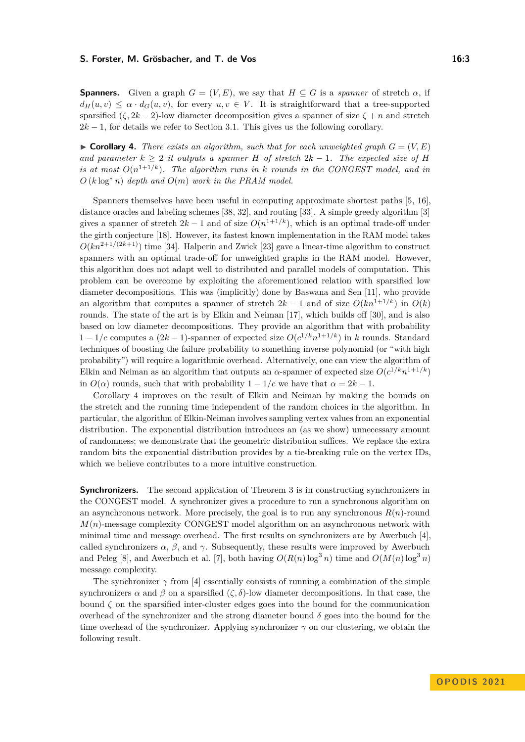#### **S. Forster, M. Grösbacher, and T. de Vos 16:3** 16:3

**Spanners.** Given a graph  $G = (V, E)$ , we say that  $H \subseteq G$  is a *spanner* of stretch  $\alpha$ , if  $d_H(u, v) \leq \alpha \cdot d_G(u, v)$ , for every  $u, v \in V$ . It is straightforward that a tree-supported sparsified  $(\zeta, 2k - 2)$ -low diameter decomposition gives a spanner of size  $\zeta + n$  and stretch  $2k - 1$ , for details we refer to Section [3.1.](#page-9-0) This gives us the following corollary.

<span id="page-2-0"></span> $\triangleright$  **Corollary 4.** *There exists an algorithm, such that for each unweighted graph*  $G = (V, E)$ *and parameter*  $k \geq 2$  *it outputs a spanner H of stretch*  $2k - 1$ *. The expected size of H is at most*  $O(n^{1+1/k})$ *. The algorithm runs in k rounds in the CONGEST model, and in O* (*k* log<sup>∗</sup> *n*) *depth and O*(*m*) *work in the PRAM model.*

Spanners themselves have been useful in computing approximate shortest paths [\[5,](#page-14-12) [16\]](#page-15-8), distance oracles and labeling schemes [\[38,](#page-15-9) [32\]](#page-15-10), and routing [\[33\]](#page-15-11). A simple greedy algorithm [\[3\]](#page-14-13) gives a spanner of stretch  $2k-1$  and of size  $O(n^{1+1/k})$ , which is an optimal trade-off under the girth conjecture [\[18\]](#page-15-12). However, its fastest known implementation in the RAM model takes  $O(kn^{2+1/(2k+1)})$  time [\[34\]](#page-15-13). Halperin and Zwick [\[23\]](#page-15-14) gave a linear-time algorithm to construct spanners with an optimal trade-off for unweighted graphs in the RAM model. However, this algorithm does not adapt well to distributed and parallel models of computation. This problem can be overcome by exploiting the aforementioned relation with sparsified low diameter decompositions. This was (implicitly) done by Baswana and Sen [\[11\]](#page-14-10), who provide an algorithm that computes a spanner of stretch  $2k - 1$  and of size  $O(kn^{1+1/k})$  in  $O(k)$ rounds. The state of the art is by Elkin and Neiman [\[17\]](#page-15-7), which builds off [\[30\]](#page-15-6), and is also based on low diameter decompositions. They provide an algorithm that with probability 1 − 1/c computes a  $(2k - 1)$ -spanner of expected size  $O(c^{1/k}n^{1+1/k})$  in *k* rounds. Standard techniques of boosting the failure probability to something inverse polynomial (or "with high probability") will require a logarithmic overhead. Alternatively, one can view the algorithm of Elkin and Neiman as an algorithm that outputs an  $\alpha$ -spanner of expected size  $O(c^{1/k}n^{1+1/k})$ in  $O(\alpha)$  rounds, such that with probability  $1 - 1/c$  we have that  $\alpha = 2k - 1$ .

Corollary [4](#page-2-0) improves on the result of Elkin and Neiman by making the bounds on the stretch and the running time independent of the random choices in the algorithm. In particular, the algorithm of Elkin-Neiman involves sampling vertex values from an exponential distribution. The exponential distribution introduces an (as we show) unnecessary amount of randomness; we demonstrate that the geometric distribution suffices. We replace the extra random bits the exponential distribution provides by a tie-breaking rule on the vertex IDs, which we believe contributes to a more intuitive construction.

**Synchronizers.** The second application of Theorem [3](#page-1-2) is in constructing synchronizers in the CONGEST model. A synchronizer gives a procedure to run a synchronous algorithm on an asynchronous network. More precisely, the goal is to run any synchronous  $R(n)$ -round *M*(*n*)-message complexity CONGEST model algorithm on an asynchronous network with minimal time and message overhead. The first results on synchronizers are by Awerbuch [\[4\]](#page-14-0), called synchronizers  $\alpha$ ,  $\beta$ , and  $\gamma$ . Subsequently, these results were improved by Awerbuch and Peleg [\[8\]](#page-14-14), and Awerbuch et al. [\[7\]](#page-14-11), both having  $O(R(n)\log^3 n)$  time and  $O(M(n)\log^3 n)$ message complexity.

<span id="page-2-1"></span>The synchronizer  $\gamma$  from [\[4\]](#page-14-0) essentially consists of running a combination of the simple synchronizers  $\alpha$  and  $\beta$  on a sparsified  $(\zeta, \delta)$ -low diameter decompositions. In that case, the bound  $\zeta$  on the sparsified inter-cluster edges goes into the bound for the communication overhead of the synchronizer and the strong diameter bound  $\delta$  goes into the bound for the time overhead of the synchronizer. Applying synchronizer *γ* on our clustering, we obtain the following result.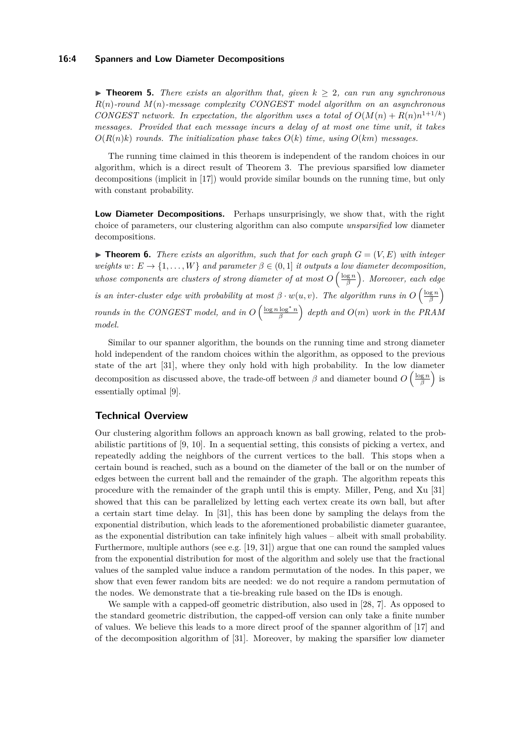#### **16:4 Spanners and Low Diameter Decompositions**

 $\triangleright$  **Theorem 5.** *There exists an algorithm that, given*  $k \geq 2$ *, can run any synchronous R*(*n*)*-round M*(*n*)*-message complexity CONGEST model algorithm on an asynchronous CONGEST network. In expectation, the algorithm uses a total of*  $O(M(n) + R(n)n^{1+1/k})$ *messages. Provided that each message incurs a delay of at most one time unit, it takes*  $O(R(n)k)$  *rounds. The initialization phase takes*  $O(k)$  *time, using*  $O(km)$  *messages.* 

The running time claimed in this theorem is independent of the random choices in our algorithm, which is a direct result of Theorem [3.](#page-1-2) The previous sparsified low diameter decompositions (implicit in [\[17\]](#page-15-7)) would provide similar bounds on the running time, but only with constant probability.

**Low Diameter Decompositions.** Perhaps unsurprisingly, we show that, with the right choice of parameters, our clustering algorithm can also compute *unsparsified* low diameter decompositions.

<span id="page-3-0"></span> $\triangleright$  **Theorem 6.** *There exists an algorithm, such that for each graph*  $G = (V, E)$  *with integer weights*  $w: E \to \{1, \ldots, W\}$  *and parameter*  $\beta \in (0, 1]$  *it outputs a low diameter decomposition, whose components are clusters of strong diameter of at most*  $O\left(\frac{\log n}{\beta}\right)$ . Moreover, each edge *is an inter-cluster edge with probability at most*  $\beta \cdot w(u, v)$ . The algorithm runs in  $O\left(\frac{\log n}{\beta}\right)$ *rounds in the CONGEST model, and in*  $O\left(\frac{\log n \log^* n}{\beta}\right)$  depth and  $O(m)$  work in the PRAM *model.*

Similar to our spanner algorithm, the bounds on the running time and strong diameter hold independent of the random choices within the algorithm, as opposed to the previous state of the art [\[31\]](#page-15-0), where they only hold with high probability. In the low diameter decomposition as discussed above, the trade-off between  $\beta$  and diameter bound  $O\left(\frac{\log n}{\beta}\right)$  is essentially optimal [\[9\]](#page-14-2).

# **Technical Overview**

Our clustering algorithm follows an approach known as ball growing, related to the probabilistic partitions of [\[9,](#page-14-2) [10\]](#page-14-9). In a sequential setting, this consists of picking a vertex, and repeatedly adding the neighbors of the current vertices to the ball. This stops when a certain bound is reached, such as a bound on the diameter of the ball or on the number of edges between the current ball and the remainder of the graph. The algorithm repeats this procedure with the remainder of the graph until this is empty. Miller, Peng, and Xu [\[31\]](#page-15-0) showed that this can be parallelized by letting each vertex create its own ball, but after a certain start time delay. In [\[31\]](#page-15-0), this has been done by sampling the delays from the exponential distribution, which leads to the aforementioned probabilistic diameter guarantee, as the exponential distribution can take infinitely high values – albeit with small probability. Furthermore, multiple authors (see e.g.  $[19, 31]$  $[19, 31]$  $[19, 31]$ ) argue that one can round the sampled values from the exponential distribution for most of the algorithm and solely use that the fractional values of the sampled value induce a random permutation of the nodes. In this paper, we show that even fewer random bits are needed: we do not require a random permutation of the nodes. We demonstrate that a tie-breaking rule based on the IDs is enough.

We sample with a capped-off geometric distribution, also used in [\[28,](#page-15-16) [7\]](#page-14-11). As opposed to the standard geometric distribution, the capped-off version can only take a finite number of values. We believe this leads to a more direct proof of the spanner algorithm of [\[17\]](#page-15-7) and of the decomposition algorithm of [\[31\]](#page-15-0). Moreover, by making the sparsifier low diameter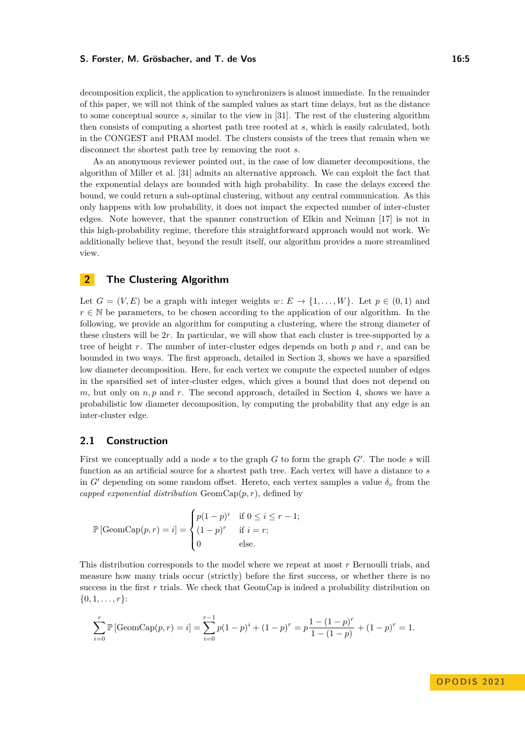#### **S. Forster, M. Grösbacher, and T. de Vos 16:5** 16:5

decomposition explicit, the application to synchronizers is almost immediate. In the remainder of this paper, we will not think of the sampled values as start time delays, but as the distance to some conceptual source *s*, similar to the view in [\[31\]](#page-15-0). The rest of the clustering algorithm then consists of computing a shortest path tree rooted at *s*, which is easily calculated, both in the CONGEST and PRAM model. The clusters consists of the trees that remain when we disconnect the shortest path tree by removing the root *s*.

As an anonymous reviewer pointed out, in the case of low diameter decompositions, the algorithm of Miller et al. [\[31\]](#page-15-0) admits an alternative approach. We can exploit the fact that the exponential delays are bounded with high probability. In case the delays exceed the bound, we could return a sub-optimal clustering, without any central communication. As this only happens with low probability, it does not impact the expected number of inter-cluster edges. Note however, that the spanner construction of Elkin and Neiman [\[17\]](#page-15-7) is not in this high-probability regime, therefore this straightforward approach would not work. We additionally believe that, beyond the result itself, our algorithm provides a more streamlined view.

# <span id="page-4-0"></span>**2 The Clustering Algorithm**

Let  $G = (V, E)$  be a graph with integer weights  $w: E \to \{1, \ldots, W\}$ . Let  $p \in (0, 1)$  and  $r \in \mathbb{N}$  be parameters, to be chosen according to the application of our algorithm. In the following, we provide an algorithm for computing a clustering, where the strong diameter of these clusters will be 2*r*. In particular, we will show that each cluster is tree-supported by a tree of height *r*. The number of inter-cluster edges depends on both *p* and *r*, and can be bounded in two ways. The first approach, detailed in Section [3,](#page-7-0) shows we have a sparsified low diameter decomposition. Here, for each vertex we compute the expected number of edges in the sparsified set of inter-cluster edges, which gives a bound that does not depend on *m*, but only on *n, p* and *r*. The second approach, detailed in Section [4,](#page-11-0) shows we have a probabilistic low diameter decomposition, by computing the probability that any edge is an inter-cluster edge.

# **2.1 Construction**

First we conceptually add a node *s* to the graph *G* to form the graph *G'*. The node *s* will function as an artificial source for a shortest path tree. Each vertex will have a distance to *s* in  $G'$  depending on some random offset. Hereto, each vertex samples a value  $\delta_v$  from the *capped exponential distribution* GeomCap(*p, r*), defined by

$$
\mathbb{P}[\text{GeomCap}(p,r) = i] = \begin{cases} p(1-p)^i & \text{if } 0 \le i \le r-1; \\ (1-p)^r & \text{if } i = r; \\ 0 & \text{else.} \end{cases}
$$

This distribution corresponds to the model where we repeat at most *r* Bernoulli trials, and measure how many trials occur (strictly) before the first success, or whether there is no success in the first r trials. We check that GeomCap is indeed a probability distribution on  $\{0, 1, \ldots, r\}$ :

$$
\sum_{i=0}^{r} \mathbb{P} \left[ \text{GeomCap}(p,r) = i \right] = \sum_{i=0}^{r-1} p(1-p)^{i} + (1-p)^{r} = p \frac{1 - (1-p)^{r}}{1 - (1-p)} + (1-p)^{r} = 1.
$$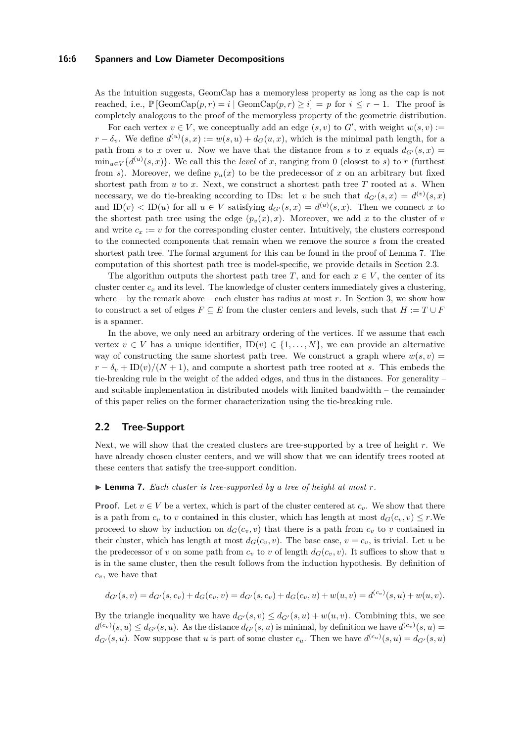#### **16:6 Spanners and Low Diameter Decompositions**

As the intuition suggests, GeomCap has a memoryless property as long as the cap is not reached, i.e.,  $\mathbb{P}[\text{GeomCap}(p,r) = i | \text{GeomCap}(p,r) \geq i] = p \text{ for } i \leq r-1$ . The proof is completely analogous to the proof of the memoryless property of the geometric distribution.

For each vertex  $v \in V$ , we conceptually add an edge  $(s, v)$  to  $G'$ , with weight  $w(s, v) :=$  $r - \delta_v$ . We define  $d^{(u)}(s, x) := w(s, u) + d_G(u, x)$ , which is the minimal path length, for a path from *s* to *x* over *u*. Now we have that the distance from *s* to *x* equals  $d_{G'}(s,x)$  $\min_{u \in V} \{d^{(u)}(s,x)\}.$  We call this the *level* of *x*, ranging from 0 (closest to *s*) to *r* (furthest from *s*). Moreover, we define  $p_u(x)$  to be the predecessor of x on an arbitrary but fixed shortest path from *u* to *x*. Next, we construct a shortest path tree *T* rooted at *s*. When necessary, we do tie-breaking according to IDs: let *v* be such that  $d_{G'}(s,x) = d^{(v)}(s,x)$ and  $ID(v) < ID(u)$  for all  $u \in V$  satisfying  $d_{G'}(s,x) = d^{(u)}(s,x)$ . Then we connect *x* to the shortest path tree using the edge  $(p_v(x), x)$ . Moreover, we add x to the cluster of v and write  $c_x := v$  for the corresponding cluster center. Intuitively, the clusters correspond to the connected components that remain when we remove the source *s* from the created shortest path tree. The formal argument for this can be found in the proof of Lemma [7.](#page-5-0) The computation of this shortest path tree is model-specific, we provide details in Section [2.3.](#page-6-0)

The algorithm outputs the shortest path tree *T*, and for each  $x \in V$ , the center of its cluster center  $c_x$  and its level. The knowledge of cluster centers immediately gives a clustering, where – by the remark above – each cluster has radius at most  $r$ . In Section [3,](#page-7-0) we show how to construct a set of edges  $F \subseteq E$  from the cluster centers and levels, such that  $H := T \cup F$ is a spanner.

In the above, we only need an arbitrary ordering of the vertices. If we assume that each vertex  $v \in V$  has a unique identifier,  $ID(v) \in \{1, ..., N\}$ , we can provide an alternative way of constructing the same shortest path tree. We construct a graph where  $w(s, v)$  $r - \delta_v + \text{ID}(v)/(N+1)$ , and compute a shortest path tree rooted at *s*. This embeds the tie-breaking rule in the weight of the added edges, and thus in the distances. For generality – and suitable implementation in distributed models with limited bandwidth – the remainder of this paper relies on the former characterization using the tie-breaking rule.

# **2.2 Tree-Support**

Next, we will show that the created clusters are tree-supported by a tree of height *r*. We have already chosen cluster centers, and we will show that we can identify trees rooted at these centers that satisfy the tree-support condition.

#### <span id="page-5-0"></span> $\blacktriangleright$  **Lemma 7.** Each cluster is tree-supported by a tree of height at most  $r$ .

**Proof.** Let  $v \in V$  be a vertex, which is part of the cluster centered at  $c_v$ . We show that there is a path from  $c_v$  to *v* contained in this cluster, which has length at most  $d_G(c_v, v) \leq r$ . We proceed to show by induction on  $d_G(c_v, v)$  that there is a path from  $c_v$  to *v* contained in their cluster, which has length at most  $d_G(c_v, v)$ . The base case,  $v = c_v$ , is trivial. Let *u* be the predecessor of *v* on some path from  $c_v$  to *v* of length  $d_G(c_v, v)$ . It suffices to show that *u* is in the same cluster, then the result follows from the induction hypothesis. By definition of *cv*, we have that

$$
d_{G'}(s,v) = d_{G'}(s,c_v) + d_G(c_v,v) = d_{G'}(s,c_v) + d_G(c_v,u) + w(u,v) = d^{(c_v)}(s,u) + w(u,v).
$$

By the triangle inequality we have  $d_{G'}(s, v) \leq d_{G'}(s, u) + w(u, v)$ . Combining this, we see  $d^{(c_v)}(s, u) \leq d_{G'}(s, u)$ . As the distance  $d_{G'}(s, u)$  is minimal, by definition we have  $d^{(c_v)}(s, u) =$  $d_{G'}(s, u)$ . Now suppose that *u* is part of some cluster  $c_u$ . Then we have  $d^{(c_u)}(s, u) = d_{G'}(s, u)$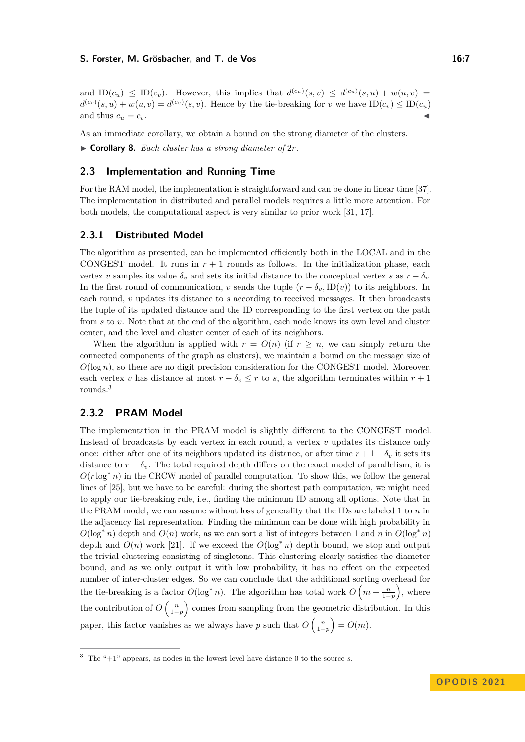#### **S. Forster, M. Grösbacher, and T. de Vos 16:7** 16:7

and  $ID(c_u) \leq ID(c_v)$ . However, this implies that  $d^{(c_u)}(s, v) \leq d^{(c_u)}(s, u) + w(u, v)$  $d^{(c_v)}(s, u) + w(u, v) = d^{(c_v)}(s, v)$ . Hence by the tie-breaking for *v* we have  $ID(c_v) \leq ID(c_u)$ and thus  $c_u = c_v$ .

As an immediate corollary, we obtain a bound on the strong diameter of the clusters.

<span id="page-6-2"></span>▶ **Corollary 8.** *Each cluster has a strong diameter of* 2*r.*

### <span id="page-6-0"></span>**2.3 Implementation and Running Time**

For the RAM model, the implementation is straightforward and can be done in linear time [\[37\]](#page-15-17). The implementation in distributed and parallel models requires a little more attention. For both models, the computational aspect is very similar to prior work [\[31,](#page-15-0) [17\]](#page-15-7).

# **2.3.1 Distributed Model**

The algorithm as presented, can be implemented efficiently both in the LOCAL and in the CONGEST model. It runs in  $r + 1$  rounds as follows. In the initialization phase, each vertex *v* samples its value  $\delta_v$  and sets its initial distance to the conceptual vertex *s* as  $r - \delta_v$ . In the first round of communication, *v* sends the tuple  $(r - \delta_v, \text{ID}(v))$  to its neighbors. In each round, *v* updates its distance to *s* according to received messages. It then broadcasts the tuple of its updated distance and the ID corresponding to the first vertex on the path from *s* to *v*. Note that at the end of the algorithm, each node knows its own level and cluster center, and the level and cluster center of each of its neighbors.

When the algorithm is applied with  $r = O(n)$  (if  $r \geq n$ , we can simply return the connected components of the graph as clusters), we maintain a bound on the message size of *O*(log *n*), so there are no digit precision consideration for the CONGEST model. Moreover, each vertex *v* has distance at most  $r - \delta_v \leq r$  to *s*, the algorithm terminates within  $r + 1$ rounds.[3](#page-6-1)

# **2.3.2 PRAM Model**

The implementation in the PRAM model is slightly different to the CONGEST model. Instead of broadcasts by each vertex in each round, a vertex *v* updates its distance only once: either after one of its neighbors updated its distance, or after time  $r + 1 - \delta_v$  it sets its distance to  $r - \delta_v$ . The total required depth differs on the exact model of parallelism, it is  $O(r \log^* n)$  in the CRCW model of parallel computation. To show this, we follow the general lines of [\[25\]](#page-15-18), but we have to be careful: during the shortest path computation, we might need to apply our tie-breaking rule, i.e., finding the minimum ID among all options. Note that in the PRAM model, we can assume without loss of generality that the IDs are labeled 1 to *n* in the adjacency list representation. Finding the minimum can be done with high probability in  $O(\log^* n)$  depth and  $O(n)$  work, as we can sort a list of integers between 1 and *n* in  $O(\log^* n)$ depth and  $O(n)$  work [\[21\]](#page-15-19). If we exceed the  $O(\log^* n)$  depth bound, we stop and output the trivial clustering consisting of singletons. This clustering clearly satisfies the diameter bound, and as we only output it with low probability, it has no effect on the expected number of inter-cluster edges. So we can conclude that the additional sorting overhead for the tie-breaking is a factor  $O(\log^* n)$ . The algorithm has total work  $O\left(m + \frac{n}{1-p}\right)$ , where the contribution of  $O\left(\frac{n}{1-p}\right)$  comes from sampling from the geometric distribution. In this paper, this factor vanishes as we always have *p* such that  $O\left(\frac{n}{1-p}\right) = O(m)$ .

<span id="page-6-1"></span><sup>3</sup> The "+1" appears, as nodes in the lowest level have distance 0 to the source *s*.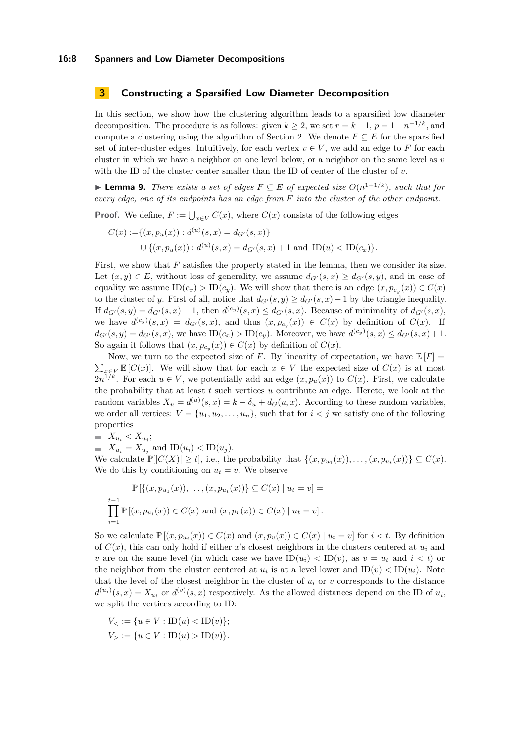# <span id="page-7-0"></span>**3 Constructing a Sparsified Low Diameter Decomposition**

In this section, we show how the clustering algorithm leads to a sparsified low diameter decomposition. The procedure is as follows: given  $k \geq 2$ , we set  $r = k - 1$ ,  $p = 1 - n^{-1/k}$ , and compute a clustering using the algorithm of Section [2.](#page-4-0) We denote  $F \subseteq E$  for the sparsified set of inter-cluster edges. Intuitively, for each vertex  $v \in V$ , we add an edge to F for each cluster in which we have a neighbor on one level below, or a neighbor on the same level as *v* with the ID of the cluster center smaller than the ID of center of the cluster of *v*.

<span id="page-7-1"></span>▶ **Lemma 9.** *There exists a set of edges*  $F ⊆ E$  *of expected size*  $O(n^{1+1/k})$ *, such that for every edge, one of its endpoints has an edge from F into the cluster of the other endpoint.*

**Proof.** We define,  $F := \bigcup_{x \in V} C(x)$ , where  $C(x)$  consists of the following edges

$$
C(x) := \{(x, p_u(x)) : d^{(u)}(s, x) = d_{G'}(s, x)\}
$$
  
 
$$
\cup \{(x, p_u(x)) : d^{(u)}(s, x) = d_{G'}(s, x) + 1 \text{ and } ID(u) < ID(c_x)\}.
$$

First, we show that *F* satisfies the property stated in the lemma, then we consider its size. Let  $(x, y) \in E$ , without loss of generality, we assume  $d_{G'}(s, x) \ge d_{G'}(s, y)$ , and in case of equality we assume  $ID(c_x) > ID(c_y)$ . We will show that there is an edge  $(x, p_{c_y}(x)) \in C(x)$ to the cluster of *y*. First of all, notice that  $d_{G'}(s, y) \ge d_{G'}(s, x) - 1$  by the triangle inequality. If  $d_{G'}(s, y) = d_{G'}(s, x) - 1$ , then  $d^{(c_y)}(s, x) \leq d_{G'}(s, x)$ . Because of minimality of  $d_{G'}(s, x)$ , we have  $d^{(c_y)}(s,x) = d_{G'}(s,x)$ , and thus  $(x, p_{c_y}(x)) \in C(x)$  by definition of  $C(x)$ . If  $d_{G'}(s,y) = d_{G'}(s,x)$ , we have  $ID(c_x) > ID(c_y)$ . Moreover, we have  $d^{(c_y)}(s,x) \leq d_{G'}(s,x) + 1$ . So again it follows that  $(x, p_{c_y}(x)) \in C(x)$  by definition of  $C(x)$ .

Now, we turn to the expected size of *F*. By linearity of expectation, we have  $\mathbb{E}[F] =$  $\sum_{x \in V} \mathbb{E}[C(x)]$ . We will show that for each  $x \in V$  the expected size of  $C(x)$  is at most  $2n^{1/k}$ . For each  $u \in V$ , we potentially add an edge  $(x, p_u(x))$  to  $C(x)$ . First, we calculate the probability that at least *t* such vertices *u* contribute an edge. Hereto, we look at the random variables  $X_u = d^{(u)}(s, x) = k - \delta_u + d_G(u, x)$ . According to these random variables, we order all vertices:  $V = \{u_1, u_2, \ldots, u_n\}$ , such that for  $i < j$  we satisfy one of the following properties

 $X_{u_i} < X_{u_j}$ ;

 $\blacksquare$   $X_{u_i} = X_{u_i}$  and  $ID(u_i) < ID(u_i)$ .

We calculate  $\mathbb{P}[|C(X)| \ge t]$ , i.e., the probability that  $\{(x, p_{u_1}(x)), \ldots, (x, p_{u_t}(x))\} \subseteq C(x)$ . We do this by conditioning on  $u_t = v$ . We observe

$$
\mathbb{P}\left[\{(x, p_{u_1}(x)), \dots, (x, p_{u_t}(x))\}\subseteq C(x) \mid u_t = v\right] = \prod_{i=1}^{t-1} \mathbb{P}\left[(x, p_{u_i}(x))\in C(x) \text{ and } (x, p_v(x))\in C(x) \mid u_t = v\right].
$$

So we calculate  $\mathbb{P}[(x, p_{u_i}(x)) \in C(x)$  and  $(x, p_v(x)) \in C(x) | u_t = v$  for  $i < t$ . By definition of  $C(x)$ , this can only hold if either x's closest neighbors in the clusters centered at  $u_i$  and *v* are on the same level (in which case we have  $ID(u_i) < ID(v)$ , as  $v = u_t$  and  $i < t$ ) or the neighbor from the cluster centered at  $u_i$  is at a level lower and  $ID(v) < ID(u_i)$ . Note that the level of the closest neighbor in the cluster of  $u_i$  or  $v$  corresponds to the distance  $d^{(u_i)}(s, x) = X_{u_i}$  or  $d^{(v)}(s, x)$  respectively. As the allowed distances depend on the ID of  $u_i$ , we split the vertices according to ID:

 $V_{\leq} := \{ u \in V : ID(u) < ID(v) \};$  $V_{\geq} := \{ u \in V : ID(u) > ID(v) \}.$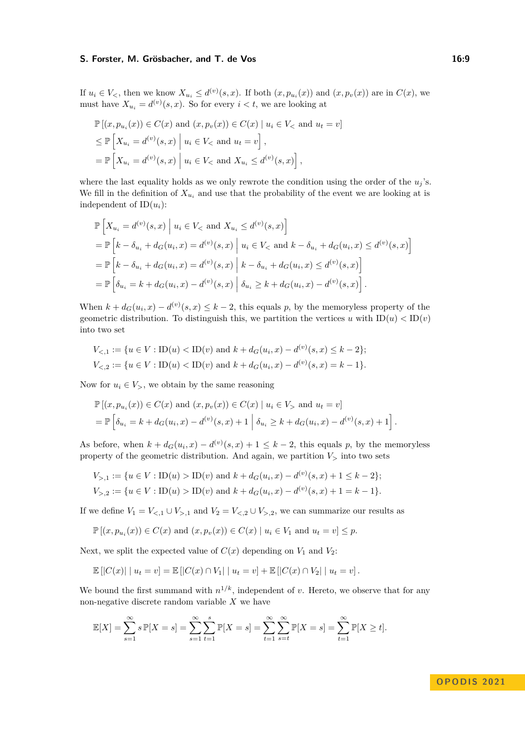### **S. Forster, M. Grösbacher, and T. de Vos 16:9** 16:9

If  $u_i \in V_<$ , then we know  $X_{u_i} \leq d^{(v)}(s, x)$ . If both  $(x, p_{u_i}(x))$  and  $(x, p_{v}(x))$  are in  $C(x)$ , we must have  $X_{u_i} = d^{(v)}(s, x)$ . So for every  $i < t$ , we are looking at

$$
\mathbb{P}[(x, p_{u_i}(x)) \in C(x) \text{ and } (x, p_v(x)) \in C(x) \mid u_i \in V_< \text{ and } u_t = v]
$$
  
\n
$$
\leq \mathbb{P}\left[X_{u_i} = d^{(v)}(s, x) \mid u_i \in V_< \text{ and } u_t = v\right],
$$
  
\n
$$
= \mathbb{P}\left[X_{u_i} = d^{(v)}(s, x) \mid u_i \in V_< \text{ and } X_{u_i} \leq d^{(v)}(s, x)\right],
$$

where the last equality holds as we only rewrote the condition using the order of the  $u_j$ 's. We fill in the definition of  $X_{u_i}$  and use that the probability of the event we are looking at is independent of  $ID(u_i)$ :

$$
\mathbb{P}\left[X_{u_i} = d^{(v)}(s, x) \middle| u_i \in V_{<} \text{ and } X_{u_i} \le d^{(v)}(s, x)\right]
$$
\n
$$
= \mathbb{P}\left[k - \delta_{u_i} + d_G(u_i, x) = d^{(v)}(s, x) \middle| u_i \in V_{<} \text{ and } k - \delta_{u_i} + d_G(u_i, x) \le d^{(v)}(s, x)\right]
$$
\n
$$
= \mathbb{P}\left[k - \delta_{u_i} + d_G(u_i, x) = d^{(v)}(s, x) \middle| k - \delta_{u_i} + d_G(u_i, x) \le d^{(v)}(s, x)\right]
$$
\n
$$
= \mathbb{P}\left[\delta_{u_i} = k + d_G(u_i, x) - d^{(v)}(s, x) \middle| \delta_{u_i} \ge k + d_G(u_i, x) - d^{(v)}(s, x)\right].
$$

When  $k + d_G(u_i, x) - d^{(v)}(s, x) \leq k - 2$ , this equals *p*, by the memoryless property of the geometric distribution. To distinguish this, we partition the vertices *u* with  $ID(u) < ID(v)$ into two set

$$
V_{\leq,1} := \{ u \in V : ID(u) < ID(v) \text{ and } k + d_G(u_i, x) - d^{(v)}(s, x) \leq k - 2 \};
$$
\n
$$
V_{\leq,2} := \{ u \in V : ID(u) < ID(v) \text{ and } k + d_G(u_i, x) - d^{(v)}(s, x) = k - 1 \}.
$$

Now for  $u_i \in V$ , we obtain by the same reasoning

$$
\mathbb{P}[(x, p_{u_i}(x)) \in C(x) \text{ and } (x, p_v(x)) \in C(x) | u_i \in V > \text{ and } u_t = v]
$$
  
= 
$$
\mathbb{P}\left[\delta_{u_i} = k + d_G(u_i, x) - d^{(v)}(s, x) + 1 | \delta_{u_i} \ge k + d_G(u_i, x) - d^{(v)}(s, x) + 1\right].
$$

As before, when  $k + d_G(u_i, x) - d^{(v)}(s, x) + 1 \leq k - 2$ , this equals p, by the memoryless property of the geometric distribution. And again, we partition *V<sup>&</sup>gt;* into two sets

$$
V_{>1} := \{ u \in V : ID(u) > ID(v) \text{ and } k + d_G(u_i, x) - d^{(v)}(s, x) + 1 \le k - 2 \};
$$
  

$$
V_{>2} := \{ u \in V : ID(u) > ID(v) \text{ and } k + d_G(u_i, x) - d^{(v)}(s, x) + 1 = k - 1 \}.
$$

If we define  $V_1 = V_{\leq 1} \cup V_{>1}$  and  $V_2 = V_{\leq 2} \cup V_{>2}$ , we can summarize our results as

$$
\mathbb{P}\left[\left(x, p_{u_i}(x)\right) \in C(x) \text{ and } (x, p_v(x)) \in C(x) \mid u_i \in V_1 \text{ and } u_t = v\right] \leq p.
$$

Next, we split the expected value of  $C(x)$  depending on  $V_1$  and  $V_2$ :

$$
\mathbb{E}[|C(x)| | u_t = v] = \mathbb{E}[|C(x) \cap V_1| | u_t = v] + \mathbb{E}[|C(x) \cap V_2| | u_t = v].
$$

We bound the first summand with  $n^{1/k}$ , independent of *v*. Hereto, we observe that for any non-negative discrete random variable *X* we have

$$
\mathbb{E}[X] = \sum_{s=1}^{\infty} s \, \mathbb{P}[X = s] = \sum_{s=1}^{\infty} \sum_{t=1}^{s} \mathbb{P}[X = s] = \sum_{t=1}^{\infty} \sum_{s=t}^{\infty} \mathbb{P}[X = s] = \sum_{t=1}^{\infty} \mathbb{P}[X \ge t].
$$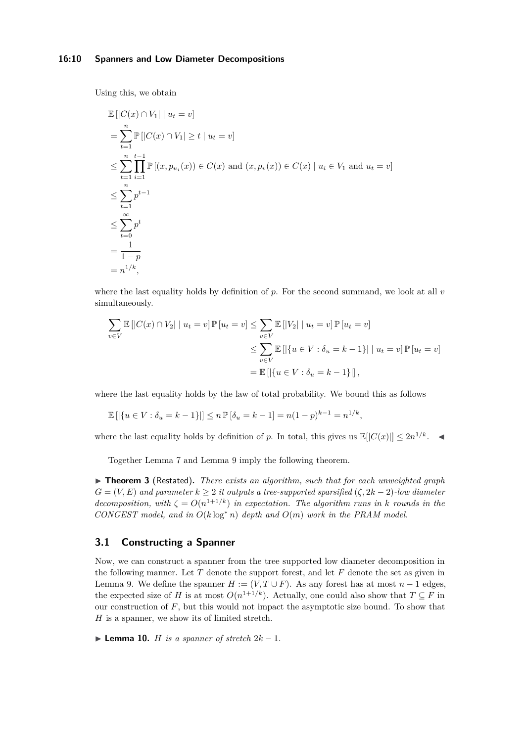#### **16:10 Spanners and Low Diameter Decompositions**

Using this, we obtain

$$
\mathbb{E} [|C(x) \cap V_1| \mid u_t = v]
$$
\n
$$
= \sum_{t=1}^n \mathbb{P} [|C(x) \cap V_1| \ge t \mid u_t = v]
$$
\n
$$
\le \sum_{t=1}^n \prod_{i=1}^{t-1} \mathbb{P} [(x, p_{u_i}(x)) \in C(x) \text{ and } (x, p_v(x)) \in C(x) \mid u_i \in V_1 \text{ and } u_t = v]
$$
\n
$$
\le \sum_{t=1}^n p^{t-1}
$$
\n
$$
\le \sum_{t=0}^\infty p^t
$$
\n
$$
= \frac{1}{1-p}
$$
\n
$$
= n^{1/k},
$$

where the last equality holds by definition of *p*. For the second summand, we look at all *v* simultaneously.

$$
\sum_{v \in V} \mathbb{E} \left[ |C(x) \cap V_2| \mid u_t = v \right] \mathbb{P} \left[ u_t = v \right] \le \sum_{v \in V} \mathbb{E} \left[ |V_2| \mid u_t = v \right] \mathbb{P} \left[ u_t = v \right]
$$
  

$$
\le \sum_{v \in V} \mathbb{E} \left[ \left| \{ u \in V : \delta_u = k - 1 \} \right| \mid u_t = v \right] \mathbb{P} \left[ u_t = v \right]
$$
  

$$
= \mathbb{E} \left[ \left| \{ u \in V : \delta_u = k - 1 \} \right| \right],
$$

where the last equality holds by the law of total probability. We bound this as follows

$$
\mathbb{E} [|\{u \in V : \delta_u = k - 1\}|] \le n \mathbb{P} [\delta_u = k - 1] = n(1 - p)^{k - 1} = n^{1/k},
$$

where the last equality holds by definition of *p*. In total, this gives us  $\mathbb{E}[|C(x)|] \leq 2n^{1/k}$ .

Together Lemma [7](#page-5-0) and Lemma [9](#page-7-1) imply the following theorem.

▶ **Theorem [3](#page-1-2)** (Restated)**.** *There exists an algorithm, such that for each unweighted graph*  $G = (V, E)$  *and parameter*  $k \geq 2$  *it outputs a tree-supported sparsified*  $(\zeta, 2k - 2)$ *-low diameter decomposition, with*  $\zeta = O(n^{1+1/k})$  *in expectation. The algorithm runs in k rounds in the CONGEST model, and in*  $O(k \log^* n)$  *depth and*  $O(m)$  *work in the PRAM model.* 

# <span id="page-9-0"></span>**3.1 Constructing a Spanner**

Now, we can construct a spanner from the tree supported low diameter decomposition in the following manner. Let *T* denote the support forest, and let *F* denote the set as given in Lemma [9.](#page-7-1) We define the spanner  $H := (V, T \cup F)$ . As any forest has at most  $n - 1$  edges, the expected size of *H* is at most  $O(n^{1+1/k})$ . Actually, one could also show that  $T \subseteq F$  in our construction of *F*, but this would not impact the asymptotic size bound. To show that *H* is a spanner, we show its of limited stretch.

<span id="page-9-1"></span>▶ **Lemma 10.** *H is a spanner of stretch*  $2k - 1$ *.*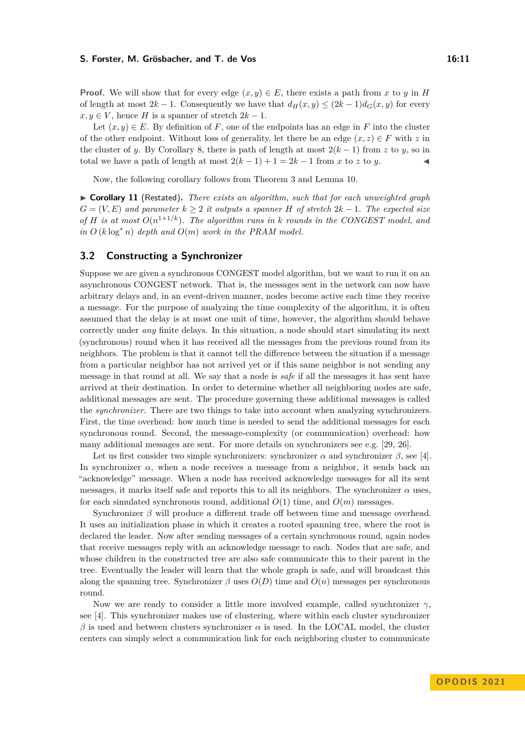#### **S. Forster, M. Grösbacher, and T. de Vos 16:11** 16:11

**Proof.** We will show that for every edge  $(x, y) \in E$ , there exists a path from *x* to *y* in *H* of length at most  $2k - 1$ . Consequently we have that  $d_H(x, y) \leq (2k - 1)d_G(x, y)$  for every  $x, y \in V$ , hence *H* is a spanner of stretch  $2k - 1$ .

Let  $(x, y) \in E$ . By definition of *F*, one of the endpoints has an edge in *F* into the cluster of the other endpoint. Without loss of generality, let there be an edge  $(x, z) \in F$  with z in the cluster of *y*. By Corollary [8,](#page-6-2) there is path of length at most  $2(k-1)$  from *z* to *y*, so in total we have a path of length at most  $2(k-1) + 1 = 2k - 1$  from *x* to *z* to *y*.

Now, the following corollary follows from Theorem [3](#page-1-2) and Lemma [10.](#page-9-1)

▶ **Corollary 11** (Restated)**.** *There exists an algorithm, such that for each unweighted graph*  $G = (V, E)$  *and parameter*  $k \geq 2$  *it outputs a spanner H of stretch*  $2k - 1$ *. The expected size of H is at most*  $O(n^{1+1/k})$ *. The algorithm runs in k rounds in the CONGEST model, and*  $\int$ *in*  $O(k \log^* n)$  *depth and*  $O(m)$  *work in the PRAM model.* 

# **3.2 Constructing a Synchronizer**

Suppose we are given a synchronous CONGEST model algorithm, but we want to run it on an asynchronous CONGEST network. That is, the messages sent in the network can now have arbitrary delays and, in an event-driven manner, nodes become active each time they receive a message. For the purpose of analyzing the time complexity of the algorithm, it is often assumed that the delay is at most one unit of time, however, the algorithm should behave correctly under *any* finite delays. In this situation, a node should start simulating its next (synchronous) round when it has received all the messages from the previous round from its neighbors. The problem is that it cannot tell the difference between the situation if a message from a particular neighbor has not arrived yet or if this same neighbor is not sending any message in that round at all. We say that a node is *safe* if all the messages it has sent have arrived at their destination. In order to determine whether all neighboring nodes are safe, additional messages are sent. The procedure governing these additional messages is called the *synchronizer*. There are two things to take into account when analyzing synchronizers. First, the time overhead: how much time is needed to send the additional messages for each synchronous round. Second, the message-complexity (or communication) overhead: how many additional messages are sent. For more details on synchronizers see e.g. [\[29,](#page-15-20) [26\]](#page-15-21).

Let us first consider two simple synchronizers: synchronizer  $\alpha$  and synchronizer  $\beta$ , see [\[4\]](#page-14-0). In synchronizer  $\alpha$ , when a node receives a message from a neighbor, it sends back an "acknowledge" message. When a node has received acknowledge messages for all its sent messages, it marks itself safe and reports this to all its neighbors. The synchronizer  $\alpha$  uses, for each simulated synchronous round, additional  $O(1)$  time, and  $O(m)$  messages.

Synchronizer *β* will produce a different trade off between time and message overhead. It uses an initialization phase in which it creates a rooted spanning tree, where the root is declared the leader. Now after sending messages of a certain synchronous round, again nodes that receive messages reply with an acknowledge message to each. Nodes that are safe, and whose children in the constructed tree are also safe communicate this to their parent in the tree. Eventually the leader will learn that the whole graph is safe, and will broadcast this along the spanning tree. Synchronizer  $\beta$  uses  $O(D)$  time and  $O(n)$  messages per synchronous round.

Now we are ready to consider a little more involved example, called synchronizer  $\gamma$ , see [\[4\]](#page-14-0). This synchronizer makes use of clustering, where within each cluster synchronizer  $β$  is used and between clusters synchronizer  $α$  is used. In the LOCAL model, the cluster centers can simply select a communication link for each neighboring cluster to communicate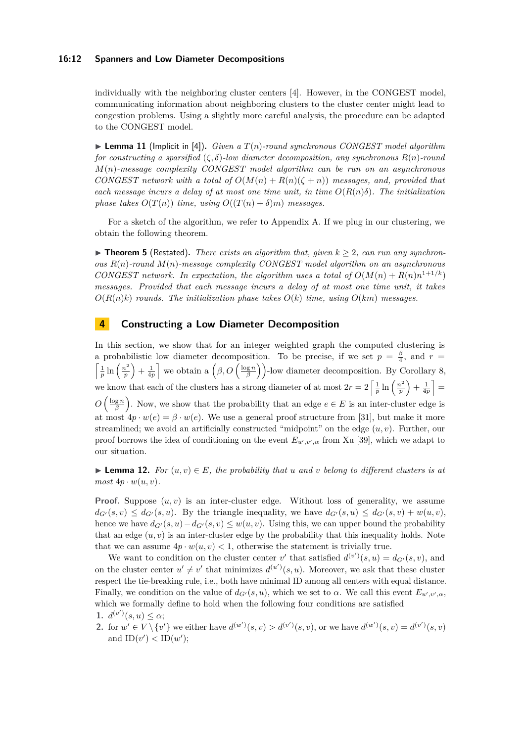#### **16:12 Spanners and Low Diameter Decompositions**

individually with the neighboring cluster centers [\[4\]](#page-14-0). However, in the CONGEST model, communicating information about neighboring clusters to the cluster center might lead to congestion problems. Using a slightly more careful analysis, the procedure can be adapted to the CONGEST model.

<span id="page-11-2"></span> $\blacktriangleright$  **Lemma 11** (Implicit in [\[4\]](#page-14-0)). *Given a*  $T(n)$ *-round synchronous CONGEST model algorithm for constructing a sparsified*  $(\zeta, \delta)$ *-low diameter decomposition, any synchronous*  $R(n)$ *-round M*(*n*)*-message complexity CONGEST model algorithm can be run on an asynchronous CONGEST network with a total of*  $O(M(n) + R(n)(\zeta + n))$  *messages, and, provided that each message incurs a delay of at most one time unit, in time*  $O(R(n)\delta)$ . The initialization *phase takes*  $O(T(n))$  *time, using*  $O((T(n) + \delta)m)$  *messages.* 

For a sketch of the algorithm, we refer to Appendix [A.](#page-16-0) If we plug in our clustering, we obtain the following theorem.

 $\triangleright$  **Theorem [5](#page-2-1)** (Restated). There exists an algorithm that, given  $k \geq 2$ , can run any synchron*ous R*(*n*)*-round M*(*n*)*-message complexity CONGEST model algorithm on an asynchronous CONGEST network. In expectation, the algorithm uses a total of*  $O(M(n) + R(n)n^{1+1/k})$ *messages. Provided that each message incurs a delay of at most one time unit, it takes*  $O(R(n)k)$  *rounds. The initialization phase takes*  $O(k)$  *time, using*  $O(km)$  *messages.* 

# <span id="page-11-0"></span>**4 Constructing a Low Diameter Decomposition**

In this section, we show that for an integer weighted graph the computed clustering is a probabilistic low diameter decomposition. To be precise, if we set  $p = \frac{\beta}{4}$ , and  $r =$  $\int \frac{1}{p} \ln \left( \frac{n^2}{p} \right)$  $\left(\frac{p^2}{p}\right) + \frac{1}{4p}$  we obtain a  $\left(\beta, O\left(\frac{\log n}{\beta}\right)\right)$ -low diameter decomposition. By Corollary [8,](#page-6-2) we know that each of the clusters has a strong diameter of at most  $2r = 2 \left[ \frac{1}{p} \ln \left( \frac{n^2}{p} \right) \right]$  $\frac{a^2}{p}$  +  $\frac{1}{4p}$  =  $O\left(\frac{\log n}{\beta}\right)$ . Now, we show that the probability that an edge  $e \in E$  is an inter-cluster edge is at most  $4p \cdot w(e) = \beta \cdot w(e)$ . We use a general proof structure from [\[31\]](#page-15-0), but make it more streamlined; we avoid an artificially constructed "midpoint" on the edge (*u, v*). Further, our proof borrows the idea of conditioning on the event  $E_{u',v',\alpha}$  from Xu [\[39\]](#page-15-22), which we adapt to our situation.

▶ **Lemma 12.** *For*  $(u, v) \in E$ *, the probability that u and v belong to different clusters is at*  $most\ 4p\cdot w(u,v)$ .

**Proof.** Suppose  $(u, v)$  is an inter-cluster edge. Without loss of generality, we assume  $d_{G'}(s, v) \leq d_{G'}(s, u)$ . By the triangle inequality, we have  $d_{G'}(s, u) \leq d_{G'}(s, v) + w(u, v)$ , hence we have  $d_{G'}(s, u) - d_{G'}(s, v) \leq w(u, v)$ . Using this, we can upper bound the probability that an edge  $(u, v)$  is an inter-cluster edge by the probability that this inequality holds. Note that we can assume  $4p \cdot w(u, v) < 1$ , otherwise the statement is trivially true.

We want to condition on the cluster center *v*<sup>'</sup> that satisfied  $d^{(v')}(s, u) = d_{G'}(s, v)$ , and on the cluster center  $u' \neq v'$  that minimizes  $d^{(u')}(s, u)$ . Moreover, we ask that these cluster respect the tie-breaking rule, i.e., both have minimal ID among all centers with equal distance. Finally, we condition on the value of  $d_{G'}(s, u)$ , which we set to  $\alpha$ . We call this event  $E_{u', v', \alpha}$ , which we formally define to hold when the following four conditions are satisfied **1.**  $d^{(v')}(s, u) \leq \alpha;$ 

<span id="page-11-1"></span>2. for  $w' \in V \setminus \{v'\}$  we either have  $d^{(w')}(s, v) > d^{(v')}(s, v)$ , or we have  $d^{(w')}(s, v) = d^{(v')}(s, v)$ and  $ID(v') < ID(w')$ ;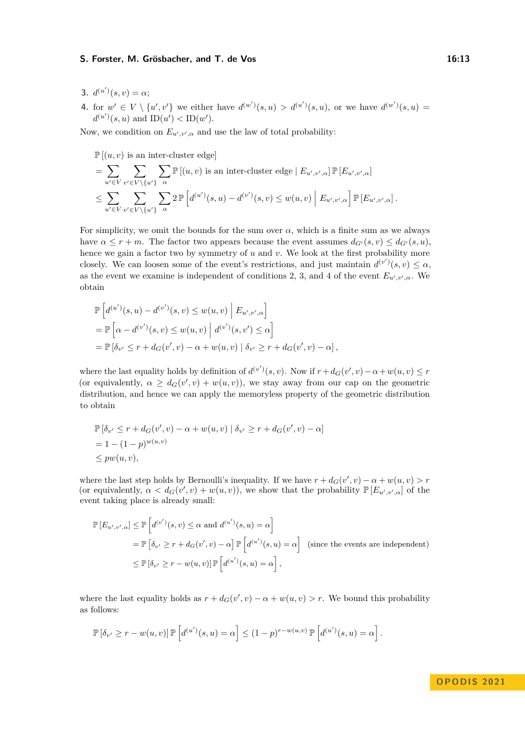#### **S. Forster, M. Grösbacher, and T. de Vos 16:13** 16:13

- <span id="page-12-0"></span>**3.**  $d^{(u')}(s, v) = \alpha;$
- <span id="page-12-1"></span>**4.** for  $w' \in V \setminus \{u', v'\}$  we either have  $d^{(w')}(s, u) > d^{(u')}(s, u)$ , or we have  $d^{(w')}(s, u) =$  $d^{(u')}(s, u)$  and  $ID(u') < ID(w')$ .

Now, we condition on  $E_{u',v',\alpha}$  and use the law of total probability:

 $\mathbb{P}[(u, v)$  is an inter-cluster edge

$$
= \sum_{u' \in V} \sum_{v' \in V \setminus \{u'\}} \sum_{\alpha} \mathbb{P}[(u, v) \text{ is an inter-cluster edge } | E_{u', v', \alpha}] \mathbb{P}[E_{u', v', \alpha}]
$$
  

$$
\leq \sum_{u' \in V} \sum_{v' \in V \setminus \{u'\}} \sum_{\alpha} 2 \mathbb{P}\left[d^{(u')}(s, u) - d^{(v')}(s, v) \leq w(u, v) \mid E_{u', v', \alpha}\right] \mathbb{P}[E_{u', v', \alpha}].
$$

For simplicity, we omit the bounds for the sum over *α*, which is a finite sum as we always have  $\alpha \leq r + m$ . The factor two appears because the event assumes  $d_{G'}(s, v) \leq d_{G'}(s, u)$ , hence we gain a factor two by symmetry of *u* and *v*. We look at the first probability more closely. We can loosen some of the event's restrictions, and just maintain  $d^{(v')}(s, v) \leq \alpha$ , as the event we examine is independent of conditions [2,](#page-11-1) [3,](#page-12-0) and [4](#page-12-1) of the event  $E_{u',v',\alpha}$ . We obtain

$$
\mathbb{P}\left[d^{(u')}(s,u) - d^{(v')}(s,v) \le w(u,v) \middle| E_{u',v',\alpha}\right]
$$
\n
$$
= \mathbb{P}\left[\alpha - d^{(v')}(s,v) \le w(u,v) \middle| d^{(v')}(s,v') \le \alpha\right]
$$
\n
$$
= \mathbb{P}\left[\delta_{v'} \le r + d_G(v',v) - \alpha + w(u,v) \middle| \delta_{v'} \ge r + d_G(v',v) - \alpha\right],
$$

where the last equality holds by definition of  $d^{(v')}(s, v)$ . Now if  $r + d_G(v', v) - \alpha + w(u, v) \leq r$ (or equivalently,  $\alpha \geq d_G(v', v) + w(u, v)$ ), we stay away from our cap on the geometric distribution, and hence we can apply the memoryless property of the geometric distribution to obtain

$$
\mathbb{P}\left[\delta_{v'} \le r + d_G(v', v) - \alpha + w(u, v) \mid \delta_{v'} \ge r + d_G(v', v) - \alpha\right]
$$
  
= 1 - (1 - p)^{w(u, v)}  

$$
\le pw(u, v),
$$

where the last step holds by Bernoulli's inequality. If we have  $r + d_G(v', v) - \alpha + w(u, v) > r$ (or equivalently,  $\alpha < d_G(v', v) + w(u, v)$ ), we show that the probability  $\mathbb{P}[E_{u', v', \alpha}]$  of the event taking place is already small:

$$
\mathbb{P}\left[E_{u',v',\alpha}\right] \leq \mathbb{P}\left[d^{(v')}(s,v) \leq \alpha \text{ and } d^{(u')}(s,u) = \alpha\right]
$$
  
=  $\mathbb{P}\left[\delta_{v'} \geq r + d_G(v',v) - \alpha\right] \mathbb{P}\left[d^{(u')}(s,u) = \alpha\right]$  (since the events are independent)  
 $\leq \mathbb{P}\left[\delta_{v'} \geq r - w(u,v)\right] \mathbb{P}\left[d^{(u')}(s,u) = \alpha\right],$ 

where the last equality holds as  $r + d_G(v', v) - \alpha + w(u, v) > r$ . We bound this probability as follows:

$$
\mathbb{P}\left[\delta_{v'} \geq r - w(u,v)\right] \mathbb{P}\left[d^{(u')}(s,u) = \alpha\right] \leq (1-p)^{r-w(u,v)} \mathbb{P}\left[d^{(u')}(s,u) = \alpha\right].
$$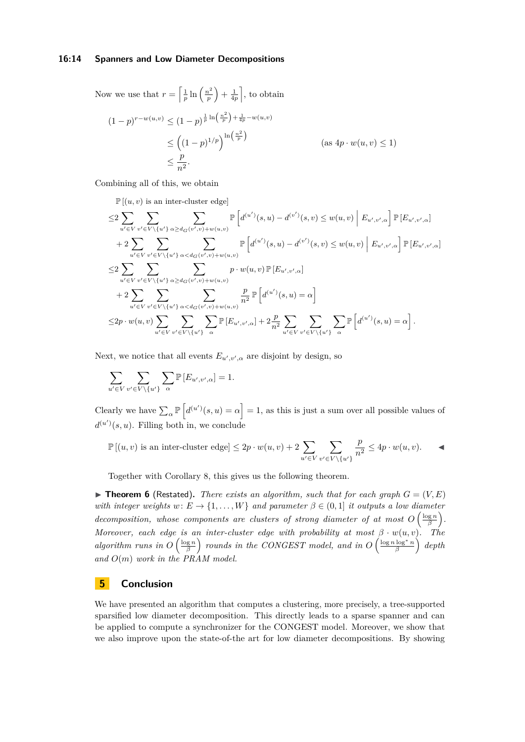#### **16:14 Spanners and Low Diameter Decompositions**

Now we use that  $r = \frac{1}{p} \ln \left( \frac{n^2}{p} \right)$  $\left(\frac{n^2}{p}\right) + \frac{1}{4p}$ , to obtain

$$
(1-p)^{r-w(u,v)} \le (1-p)^{\frac{1}{p}\ln\left(\frac{n^2}{p}\right) + \frac{1}{4p} - w(u,v)}
$$
  
\n
$$
\le \left((1-p)^{1/p}\right)^{\ln\left(\frac{n^2}{p}\right)}
$$
 (as  $4p \cdot w(u, v) \le 1$ )  
\n
$$
\le \frac{p}{n^2}.
$$

Combining all of this, we obtain

 $\mathbb{P}[(u, v)$  is an inter-cluster edge]

$$
\leq 2 \sum_{u' \in V} \sum_{v' \in V \setminus \{u'\}} \sum_{\alpha \geq d_G(v',v)+w(u,v)} \mathbb{P}\left[d^{(u')}(s,u) - d^{(v')}(s,v) \leq w(u,v) \Big| E_{u',v',\alpha}\right] \mathbb{P}[E_{u',v',\alpha}] \n+ 2 \sum_{u' \in V} \sum_{v' \in V \setminus \{u'\}} \sum_{\alpha < d_G(v',v)+w(u,v)} \mathbb{P}\left[d^{(u')}(s,u) - d^{(v')}(s,v) \leq w(u,v) \Big| E_{u',v',\alpha}\right] \mathbb{P}[E_{u',v',\alpha}] \n\leq 2 \sum_{u' \in V} \sum_{v' \in V \setminus \{u'\}} \sum_{\alpha \geq d_G(v',v)+w(u,v)} p \cdot w(u,v) \mathbb{P}[E_{u',v',\alpha}] \n+ 2 \sum_{u' \in V} \sum_{v' \in V \setminus \{u'\}} \sum_{\alpha < d_G(v',v)+w(u,v)} \frac{p}{n^2} \mathbb{P}\left[d^{(u')}(s,u) = \alpha\right] \n\leq 2p \cdot w(u,v) \sum_{u' \in V} \sum_{v' \in V \setminus \{u'\}} \sum_{\alpha} \mathbb{P}[E_{u',v',\alpha}] + 2 \frac{p}{n^2} \sum_{u' \in V} \sum_{v' \in V \setminus \{u'\}} \sum_{\alpha} \mathbb{P}\left[d^{(u')}(s,u) = \alpha\right].
$$

Next, we notice that all events  $E_{u',v',\alpha}$  are disjoint by design, so

$$
\sum_{u' \in V} \sum_{v' \in V \backslash \{u'\}} \sum_{\alpha} \mathbb{P} \left[E_{u',v',\alpha}\right] = 1.
$$

Clearly we have  $\sum_{\alpha} \mathbb{P}\left[d^{(u')}(s, u) = \alpha\right] = 1$ , as this is just a sum over all possible values of  $d^{(u')}(s, u)$ . Filling both in, we conclude

$$
\mathbb{P}[(u,v) \text{ is an inter-cluster edge}] \leq 2p \cdot w(u,v) + 2 \sum_{u' \in V} \sum_{v' \in V \setminus \{u'\}} \frac{p}{n^2} \leq 4p \cdot w(u,v).
$$

Together with Corollary [8,](#page-6-2) this gives us the following theorem.

 $\triangleright$  **Theorem [6](#page-3-0)** (Restated). *There exists an algorithm, such that for each graph*  $G = (V, E)$ *with integer weights*  $w: E \to \{1, \ldots, W\}$  *and parameter*  $\beta \in (0, 1]$  *it outputs a low diameter decomposition, whose components are clusters of strong diameter of at most*  $O\left(\frac{\log n}{\beta}\right)$ . *Moreover, each edge is an inter-cluster edge with probability at most*  $\beta \cdot w(u, v)$ . The *algorithm runs in*  $O\left(\frac{\log n}{\beta}\right)$  *rounds in the CONGEST model, and in*  $O\left(\frac{\log n \log^* n}{\beta}\right)$  *depth and O*(*m*) *work in the PRAM model.*

# **5 Conclusion**

We have presented an algorithm that computes a clustering, more precisely, a tree-supported sparsified low diameter decomposition. This directly leads to a sparse spanner and can be applied to compute a synchronizer for the CONGEST model. Moreover, we show that we also improve upon the state-of-the art for low diameter decompositions. By showing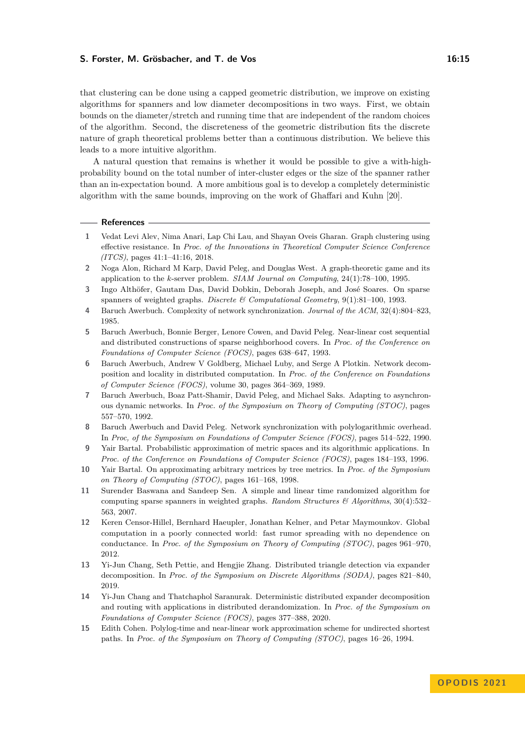#### **S. Forster, M. Grösbacher, and T. de Vos 16:15** 16:15

that clustering can be done using a capped geometric distribution, we improve on existing algorithms for spanners and low diameter decompositions in two ways. First, we obtain bounds on the diameter/stretch and running time that are independent of the random choices of the algorithm. Second, the discreteness of the geometric distribution fits the discrete nature of graph theoretical problems better than a continuous distribution. We believe this leads to a more intuitive algorithm.

A natural question that remains is whether it would be possible to give a with-highprobability bound on the total number of inter-cluster edges or the size of the spanner rather than an in-expectation bound. A more ambitious goal is to develop a completely deterministic algorithm with the same bounds, improving on the work of Ghaffari and Kuhn [\[20\]](#page-15-23).

#### **References**

- <span id="page-14-6"></span>**1** Vedat Levi Alev, Nima Anari, Lap Chi Lau, and Shayan Oveis Gharan. Graph clustering using effective resistance. In *Proc. of the Innovations in Theoretical Computer Science Conference (ITCS)*, pages 41:1–41:16, 2018.
- <span id="page-14-1"></span>**2** Noga Alon, Richard M Karp, David Peleg, and Douglas West. A graph-theoretic game and its application to the *k*-server problem. *SIAM Journal on Computing*, 24(1):78–100, 1995.
- <span id="page-14-13"></span>**3** Ingo Althöfer, Gautam Das, David Dobkin, Deborah Joseph, and José Soares. On sparse spanners of weighted graphs. *Discrete & Computational Geometry*, 9(1):81–100, 1993.
- <span id="page-14-0"></span>**4** Baruch Awerbuch. Complexity of network synchronization. *Journal of the ACM*, 32(4):804–823, 1985.
- <span id="page-14-12"></span>**5** Baruch Awerbuch, Bonnie Berger, Lenore Cowen, and David Peleg. Near-linear cost sequential and distributed constructions of sparse neighborhood covers. In *Proc. of the Conference on Foundations of Computer Science (FOCS)*, pages 638–647, 1993.
- <span id="page-14-7"></span>**6** Baruch Awerbuch, Andrew V Goldberg, Michael Luby, and Serge A Plotkin. Network decomposition and locality in distributed computation. In *Proc. of the Conference on Foundations of Computer Science (FOCS)*, volume 30, pages 364–369, 1989.
- <span id="page-14-11"></span>**7** Baruch Awerbuch, Boaz Patt-Shamir, David Peleg, and Michael Saks. Adapting to asynchronous dynamic networks. In *Proc. of the Symposium on Theory of Computing (STOC)*, pages 557–570, 1992.
- <span id="page-14-14"></span>**8** Baruch Awerbuch and David Peleg. Network synchronization with polylogarithmic overhead. In *Proc, of the Symposium on Foundations of Computer Science (FOCS)*, pages 514–522, 1990.
- <span id="page-14-2"></span>**9** Yair Bartal. Probabilistic approximation of metric spaces and its algorithmic applications. In *Proc. of the Conference on Foundations of Computer Science (FOCS)*, pages 184–193, 1996.
- <span id="page-14-9"></span>**10** Yair Bartal. On approximating arbitrary metrices by tree metrics. In *Proc. of the Symposium on Theory of Computing (STOC)*, pages 161–168, 1998.
- <span id="page-14-10"></span>**11** Surender Baswana and Sandeep Sen. A simple and linear time randomized algorithm for computing sparse spanners in weighted graphs. *Random Structures & Algorithms*, 30(4):532– 563, 2007.
- <span id="page-14-3"></span>**12** Keren Censor-Hillel, Bernhard Haeupler, Jonathan Kelner, and Petar Maymounkov. Global computation in a poorly connected world: fast rumor spreading with no dependence on conductance. In *Proc. of the Symposium on Theory of Computing (STOC)*, pages 961–970, 2012.
- <span id="page-14-4"></span>**13** Yi-Jun Chang, Seth Pettie, and Hengjie Zhang. Distributed triangle detection via expander decomposition. In *Proc. of the Symposium on Discrete Algorithms (SODA)*, pages 821–840, 2019.
- <span id="page-14-5"></span>**14** Yi-Jun Chang and Thatchaphol Saranurak. Deterministic distributed expander decomposition and routing with applications in distributed derandomization. In *Proc. of the Symposium on Foundations of Computer Science (FOCS)*, pages 377–388, 2020.
- <span id="page-14-8"></span>**15** Edith Cohen. Polylog-time and near-linear work approximation scheme for undirected shortest paths. In *Proc. of the Symposium on Theory of Computing (STOC)*, pages 16–26, 1994.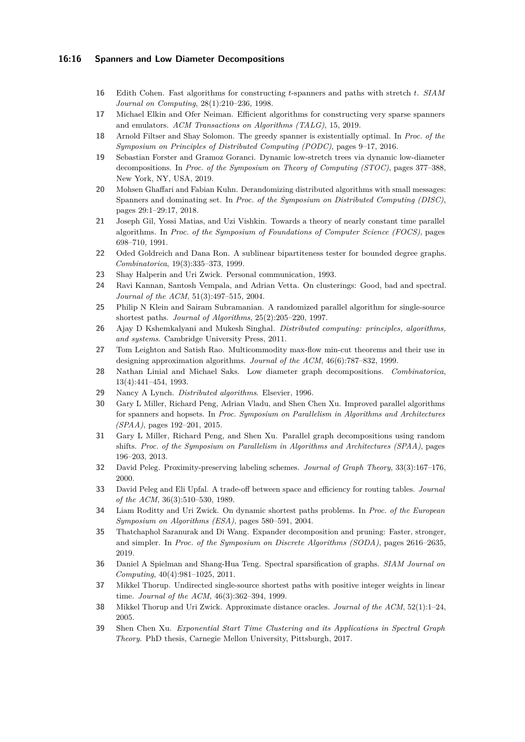#### **16:16 Spanners and Low Diameter Decompositions**

- <span id="page-15-8"></span>**16** Edith Cohen. Fast algorithms for constructing *t*-spanners and paths with stretch *t*. *SIAM Journal on Computing*, 28(1):210–236, 1998.
- <span id="page-15-7"></span>**17** Michael Elkin and Ofer Neiman. Efficient algorithms for constructing very sparse spanners and emulators. *ACM Transactions on Algorithms (TALG)*, 15, 2019.
- <span id="page-15-12"></span>**18** Arnold Filtser and Shay Solomon. The greedy spanner is existentially optimal. In *Proc. of the Symposium on Principles of Distributed Computing (PODC)*, pages 9–17, 2016.
- <span id="page-15-15"></span>**19** Sebastian Forster and Gramoz Goranci. Dynamic low-stretch trees via dynamic low-diameter decompositions. In *Proc. of the Symposium on Theory of Computing (STOC)*, pages 377–388, New York, NY, USA, 2019.
- <span id="page-15-23"></span>**20** Mohsen Ghaffari and Fabian Kuhn. Derandomizing distributed algorithms with small messages: Spanners and dominating set. In *Proc. of the Symposium on Distributed Computing (DISC)*, pages 29:1–29:17, 2018.
- <span id="page-15-19"></span>**21** Joseph Gil, Yossi Matias, and Uzi Vishkin. Towards a theory of nearly constant time parallel algorithms. In *Proc. of the Symposium of Foundations of Computer Science (FOCS)*, pages 698–710, 1991.
- <span id="page-15-1"></span>**22** Oded Goldreich and Dana Ron. A sublinear bipartiteness tester for bounded degree graphs. *Combinatorica*, 19(3):335–373, 1999.
- <span id="page-15-14"></span>**23** Shay Halperin and Uri Zwick. Personal communication, 1993.
- <span id="page-15-2"></span>**24** Ravi Kannan, Santosh Vempala, and Adrian Vetta. On clusterings: Good, bad and spectral. *Journal of the ACM*, 51(3):497–515, 2004.
- <span id="page-15-18"></span>**25** Philip N Klein and Sairam Subramanian. A randomized parallel algorithm for single-source shortest paths. *Journal of Algorithms*, 25(2):205–220, 1997.
- <span id="page-15-21"></span>**26** Ajay D Kshemkalyani and Mukesh Singhal. *Distributed computing: principles, algorithms, and systems*. Cambridge University Press, 2011.
- <span id="page-15-5"></span>**27** Tom Leighton and Satish Rao. Multicommodity max-flow min-cut theorems and their use in designing approximation algorithms. *Journal of the ACM*, 46(6):787–832, 1999.
- <span id="page-15-16"></span>**28** Nathan Linial and Michael Saks. Low diameter graph decompositions. *Combinatorica*, 13(4):441–454, 1993.
- <span id="page-15-20"></span>**29** Nancy A Lynch. *Distributed algorithms*. Elsevier, 1996.
- <span id="page-15-6"></span>**30** Gary L Miller, Richard Peng, Adrian Vladu, and Shen Chen Xu. Improved parallel algorithms for spanners and hopsets. In *Proc. Symposium on Parallelism in Algorithms and Architectures (SPAA)*, pages 192–201, 2015.
- <span id="page-15-0"></span>**31** Gary L Miller, Richard Peng, and Shen Xu. Parallel graph decompositions using random shifts. *Proc. of the Symposium on Parallelism in Algorithms and Architectures (SPAA)*, pages 196–203, 2013.
- <span id="page-15-10"></span>**32** David Peleg. Proximity-preserving labeling schemes. *Journal of Graph Theory*, 33(3):167–176, 2000.
- <span id="page-15-11"></span>**33** David Peleg and Eli Upfal. A trade-off between space and efficiency for routing tables. *Journal of the ACM*, 36(3):510–530, 1989.
- <span id="page-15-13"></span>**34** Liam Roditty and Uri Zwick. On dynamic shortest paths problems. In *Proc. of the European Symposium on Algorithms (ESA)*, pages 580–591, 2004.
- <span id="page-15-4"></span>**35** Thatchaphol Saranurak and Di Wang. Expander decomposition and pruning: Faster, stronger, and simpler. In *Proc. of the Symposium on Discrete Algorithms (SODA)*, pages 2616–2635, 2019.
- <span id="page-15-3"></span>**36** Daniel A Spielman and Shang-Hua Teng. Spectral sparsification of graphs. *SIAM Journal on Computing*, 40(4):981–1025, 2011.
- <span id="page-15-17"></span>**37** Mikkel Thorup. Undirected single-source shortest paths with positive integer weights in linear time. *Journal of the ACM*, 46(3):362–394, 1999.
- <span id="page-15-9"></span>**38** Mikkel Thorup and Uri Zwick. Approximate distance oracles. *Journal of the ACM*, 52(1):1–24, 2005.
- <span id="page-15-22"></span>**39** Shen Chen Xu. *Exponential Start Time Clustering and its Applications in Spectral Graph Theory*. PhD thesis, Carnegie Mellon University, Pittsburgh, 2017.